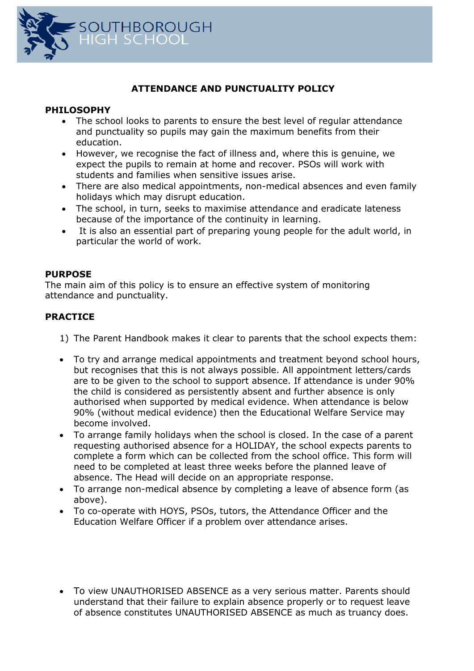

## **ATTENDANCE AND PUNCTUALITY POLICY**

## **PHILOSOPHY**

- The school looks to parents to ensure the best level of regular attendance and punctuality so pupils may gain the maximum benefits from their education.
- However, we recognise the fact of illness and, where this is genuine, we expect the pupils to remain at home and recover. PSOs will work with students and families when sensitive issues arise.
- There are also medical appointments, non-medical absences and even family holidays which may disrupt education.
- The school, in turn, seeks to maximise attendance and eradicate lateness because of the importance of the continuity in learning.
- It is also an essential part of preparing young people for the adult world, in particular the world of work.

## **PURPOSE**

The main aim of this policy is to ensure an effective system of monitoring attendance and punctuality.

## **PRACTICE**

- 1) The Parent Handbook makes it clear to parents that the school expects them:
- To try and arrange medical appointments and treatment beyond school hours, but recognises that this is not always possible. All appointment letters/cards are to be given to the school to support absence. If attendance is under 90% the child is considered as persistently absent and further absence is only authorised when supported by medical evidence. When attendance is below 90% (without medical evidence) then the Educational Welfare Service may become involved.
- To arrange family holidays when the school is closed. In the case of a parent requesting authorised absence for a HOLIDAY, the school expects parents to complete a form which can be collected from the school office. This form will need to be completed at least three weeks before the planned leave of absence. The Head will decide on an appropriate response.
- To arrange non-medical absence by completing a leave of absence form (as above).
- To co-operate with HOYS, PSOs, tutors, the Attendance Officer and the Education Welfare Officer if a problem over attendance arises.
- To view UNAUTHORISED ABSENCE as a very serious matter. Parents should understand that their failure to explain absence properly or to request leave of absence constitutes UNAUTHORISED ABSENCE as much as truancy does.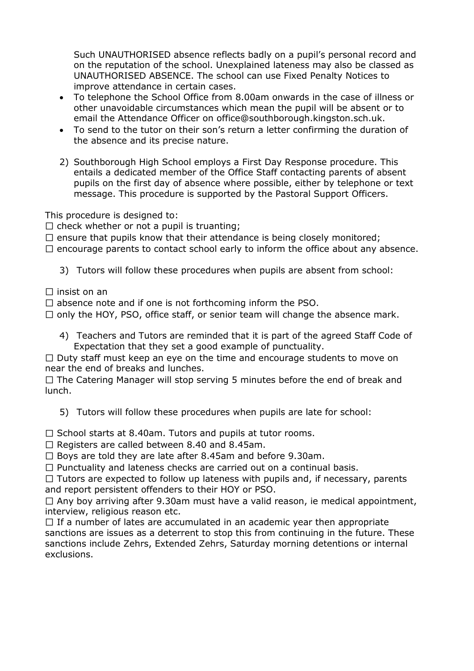Such UNAUTHORISED absence reflects badly on a pupil's personal record and on the reputation of the school. Unexplained lateness may also be classed as UNAUTHORISED ABSENCE. The school can use Fixed Penalty Notices to improve attendance in certain cases.

- To telephone the School Office from 8.00am onwards in the case of illness or other unavoidable circumstances which mean the pupil will be absent or to email the Attendance Officer on office@southborough.kingston.sch.uk.
- To send to the tutor on their son's return a letter confirming the duration of the absence and its precise nature.
- 2) Southborough High School employs a First Day Response procedure. This entails a dedicated member of the Office Staff contacting parents of absent pupils on the first day of absence where possible, either by telephone or text message. This procedure is supported by the Pastoral Support Officers.

This procedure is designed to:

 $\Box$  check whether or not a pupil is truanting;

 $\Box$  ensure that pupils know that their attendance is being closely monitored;

 $\Box$  encourage parents to contact school early to inform the office about any absence.

3) Tutors will follow these procedures when pupils are absent from school:

 $\Box$  insist on an

 $\Box$  absence note and if one is not forthcoming inform the PSO.

 $\Box$  only the HOY, PSO, office staff, or senior team will change the absence mark.

4) Teachers and Tutors are reminded that it is part of the agreed Staff Code of Expectation that they set a good example of punctuality.

 $\Box$  Duty staff must keep an eye on the time and encourage students to move on near the end of breaks and lunches.

 $\Box$  The Catering Manager will stop serving 5 minutes before the end of break and lunch.

5) Tutors will follow these procedures when pupils are late for school:

 $\Box$  School starts at 8.40am. Tutors and pupils at tutor rooms.

 $\Box$  Registers are called between 8.40 and 8.45am.

 $\Box$  Boys are told they are late after 8.45am and before 9.30am.

 $\Box$  Punctuality and lateness checks are carried out on a continual basis.

 $\Box$  Tutors are expected to follow up lateness with pupils and, if necessary, parents and report persistent offenders to their HOY or PSO.

 $\Box$  Any boy arriving after 9.30am must have a valid reason, ie medical appointment, interview, religious reason etc.

 $\Box$  If a number of lates are accumulated in an academic year then appropriate sanctions are issues as a deterrent to stop this from continuing in the future. These sanctions include Zehrs, Extended Zehrs, Saturday morning detentions or internal exclusions.